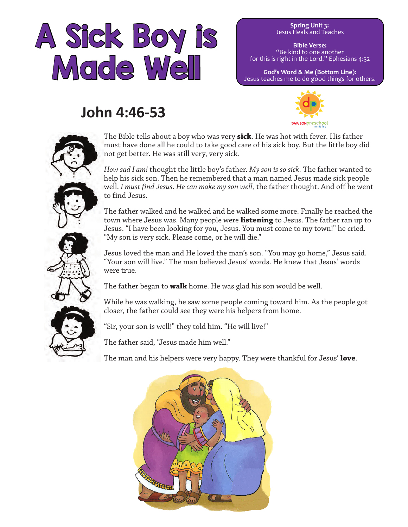

**Spring Unit 3:**

is forever." (See 1 Chronicles 16:34.)

Spring ont 3.<br>Jesus Heals and Teaches<br>Bible Verse: **Bible Verse:**  "Be kind to one another for this is right in the Lord." Ephesians 4:32

**God's Word & Me (Bottom Line):**  Jesus teaches me to do good things for others.

## **John 4:46-53** Bible Story 35 pictures.



The Bible tells about a boy who was very **sick**. He was hot with fever. His father must have done all he could to take good care of his sick boy. But the little boy did not get better. He was still very, very sick.

*How sad I am!* thought the little boy's father. *My son is so sick.* The father wanted to help his sick son. Then he remembered that a man named Jesus made sick people well. *I must find Jesus. He can make my son well,* the father thought. And off he went to find Jesus.

The father walked and he walked and he walked some more. Finally he reached the town where Jesus was. Many people were **listening** to Jesus. The father ran up to Jesus. "I have been looking for you, Jesus. You must come to my town!" he cried. "My son is very sick. Please come, or he will die."

Jesus loved the man and He loved the man's son. "You may go home," Jesus said. "Your son will live." The man believed Jesus' words. He knew that Jesus' words were true.

The father began to **walk** home. He was glad his son would be well.

While he was walking, he saw some people coming toward him. As the people got closer, the father could see they were his helpers from home.

"Sir, your son is well!" they told him. "He will live!"

The father said, "Jesus made him well."

The man and his helpers were very happy. They were thankful for Jesus' **love**.

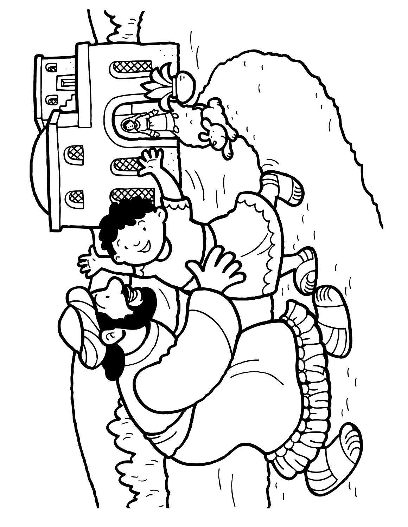